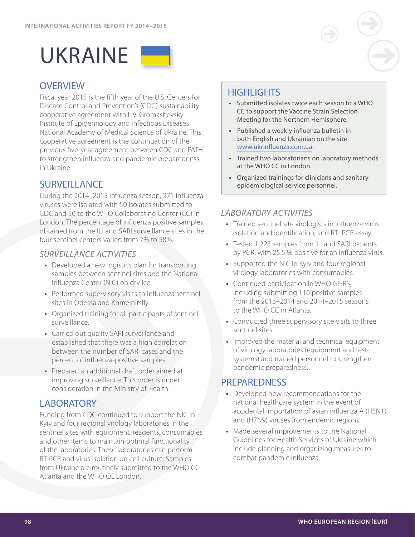

### **OVERVIEW**

Fiscal year 2015 is the fifth year of the U.S. Centers for Disease Control and Prevention's (CDC) sustainability cooperative agreement with L.V. Gromashevsky Institute of Epidemiology and Infectious Diseases National Academy of Medical Science of Ukraine. This cooperative agreement is the continuation of the previous five-year agreement between CDC and PATH to strengthen influenza and pandemic preparedness in Ukraine.

# **SURVEILLANCE**

During the 2014–2015 influenza season, 271 influenza viruses were isolated with 50 isolates submitted to CDC and 50 to the WHO Collaborating Center (CC) in London. The percentage of influenza positive samples obtained from the ILI and SARI surveillance sites in the four sentinel centers varied from 7% to 58%.

#### *SURVEILLANCE ACTIVITIES*

- **•** Developed a new logistics plan for transporting samples between sentinel sites and the National Influenza Center (NIC) on dry ice.
- **•** Performed supervisory visits to influenza sentinel sites in Odessa and Khmelnitsliy.
- **•** Organized training for all participants of sentinel surveillance.
- **•** Carried out quality SARI surveillance and established that there was a high correlation between the number of SARI cases and the percent of influenza-positive samples.
- **•** Prepared an additional draft order aimed at improving surveillance. This order is under consideration in the Ministry of Health.

# **LABORATORY**

Funding from CDC continued to support the NIC in Kyiv and four regional virology laboratories in the sentinel sites with equipment, reagents, consumables and other items to maintain optimal functionality of the laboratories. These laboratories can perform RT-PCR and virus isolation on cell culture. Samples from Ukraine are routinely submitted to the WHO CC Atlanta and the WHO CC London.

# **HIGHI IGHTS**

- **•** Submitted isolates twice each season to a WHO CC to support the Vaccine Strain Selection Meeting for the Northern Hemisphere.
- **•** Published a weekly influenza bulletin in both English and Ukrainian on the site [www.ukrinfluenza.com.ua.](http://www.ukrinfluenza.com.ua)
- **•** Trained two laboratorians on laboratory methods at the WHO CC in London.
- **•** Organized trainings for clinicians and sanitaryepidemiological service personnel.

#### *LABORATORY ACTIVITIES*

- **•** Trained sentinel site virologists in influenza virus isolation and identification, and RT- PCR assay.
- **•** Tested 1,225 samples from ILI and SARI patients by PCR, with 25.5 % positive for an influenza virus.
- **•** Supported the NIC in Kyiv and four regional virology laboratories with consumables.
- **•** Continued participation in WHO GISRS, including submitting 110 positive samples from the 2013–2014 and 2014–2015 seasons to the WHO CC in Atlanta.
- **•** Conducted three supervisory site visits to three sentinel sites.
- **•** Improved the material and technical equipment of virology laboratories (equipment and testsystems) and trained personnel to strengthen pandemic preparedness.

#### **PREPAREDNESS**

- **•** Developed new recommendations for the national healthcare system in the event of accidental importation of avian influenza A (H5N1) and (H7N9) viruses from endemic regions.
- **•** Made several improvements to the National Guidelines for Health Services of Ukraine which include planning and organizing measures to combat pandemic influenza.